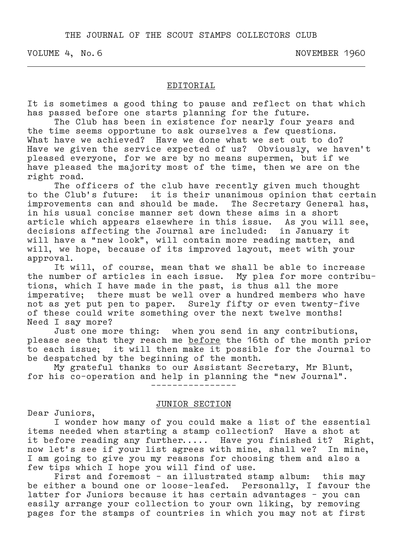THE JOURNAL OF THE SCOUT STAMPS COLLECTORS CLUB

VOLUME 4, No. 6 NOVEMBER 1960

### EDITORIAL

It is sometimes a good thing to pause and reflect on that which has passed before one starts planning for the future.

.

 The Club has been in existence for nearly four years and the time seems opportune to ask ourselves a few questions. What have we achieved? Have we done what we set out to do? Have we given the service expected of us? Obviously, we haven't pleased everyone, for we are by no means supermen, but if we have pleased the majority most of the time, then we are on the right road.

 The officers of the club have recently given much thought to the Club's future: it is their unanimous opinion that certain improvements can and should be made. The Secretary General has, in his usual concise manner set down these aims in a short article which appears elsewhere in this issue. As you will see, decisions affecting the Journal are included: in January it will have a "new look", will contain more reading matter, and will, we hope, because of its improved layout, meet with your approval.

 It will, of course, mean that we shall be able to increase the number of articles in each issue. My plea for more contribu– tions, which I have made in the past, is thus all the more imperative; there must be well over a hundred members who have not as yet put pen to paper. Surely fifty or even twenty–five of these could write something over the next twelve months! Need I say more?

 Just one more thing: when you send in any contributions, please see that they reach me before the 16th of the month prior to each issue; it will then make it possible for the Journal to be despatched by the beginning of the month.

 My grateful thanks to our Assistant Secretary, Mr Blunt, for his co–operation and help in planning the "new Journal".

––––––––––––––––

#### JUNIOR SECTION

Dear Juniors,

 I wonder how many of you could make a list of the essential items needed when starting a stamp collection? Have a shot at it before reading any further..... Have you finished it? Right, now let's see if your list agrees with mine, shall we? In mine, I am going to give you my reasons for choosing them and also a few tips which I hope you will find of use.

 First and foremost – an illustrated stamp album: this may be either a bound one or loose–leafed. Personally, I favour the latter for Juniors because it has certain advantages – you can easily arrange your collection to your own liking, by removing pages for the stamps of countries in which you may not at first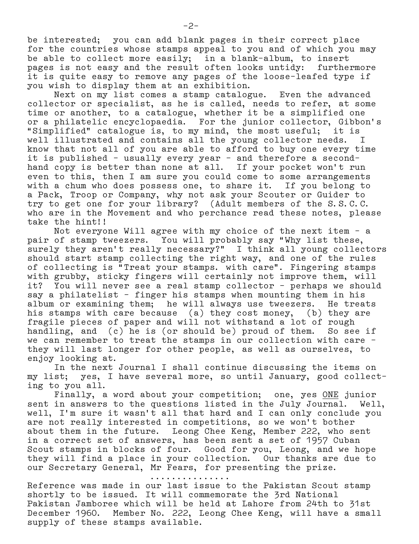be interested; you can add blank pages in their correct place for the countries whose stamps appeal to you and of which you may be able to collect more easily; in a blank–album, to insert pages is not easy and the result often looks untidy: furthermore it is quite easy to remove any pages of the loose–leafed type if you wish to display them at an exhibition.

 Next on my list comes a stamp catalogue. Even the advanced collector or specialist, as he is called, needs to refer, at some time or another, to a catalogue, whether it be a simplified one or a philatelic encyclopaedia. For the junior collector, Gibbon's "Simplified" catalogue is, to my mind, the most useful; it is well illustrated and contains all the young collector needs. I know that not all of you are able to afford to buy one every time it is published – usually every year – and therefore a second– hand copy is better than none at all. If your pocket won't run even to this, then I am sure you could come to some arrangements with a chum who does possess one, to share it. If you belong to a Pack, Troop or Company, why not ask your Scouter or Guider to try to get one for your library? (Adult members of the S.S.C.C. who are in the Movement and who perchance read these notes, please take the hint!!

 Not everyone Will agree with my choice of the next item – a pair of stamp tweezers. You will probably say "Why list these, surely they aren't really necessary?" I think all young collectors should start stamp collecting the right way, and one of the rules of collecting is "Treat your stamps. with care". Fingering stamps with grubby, sticky fingers will certainly not improve them, will it? You will never see a real stamp collector – perhaps we should say a philatelist – finger his stamps when mounting them in his album or examining them; he will always use tweezers. He treats his stamps with care because (a) they cost money, (b) they are fragile pieces of paper and will not withstand a lot of rough handling, and (c) he is (or should be) proud of them. So see if we can remember to treat the stamps in our collection with care – they will last longer for other people, as well as ourselves, to enjoy looking at.

 In the next Journal I shall continue discussing the items on my list; yes, I have several more, so until January, good collect– ing to you all.

 Finally, a word about your competition; one, yes ONE junior sent in answers to the questions listed in the July Journal. Well, well, I'm sure it wasn't all that hard and I can only conclude you are not really interested in competitions, so we won't bother about them in the future. Leong Chee Keng, Member 222, who sent in a correct set of answers, has been sent a set of 1957 Cuban Scout stamps in blocks of four. Good for you, Leong, and we hope they will find a place in your collection. Our thanks are due to our Secretary General, Mr Fears, for presenting the prize.

...............

Reference was made in our last issue to the Pakistan Scout stamp shortly to be issued. It will commemorate the 3rd National Pakistan Jamboree which will be held at Lahore from 24th to 31st December 1960. Member No. 222, Leong Chee Keng, will have a small supply of these stamps available.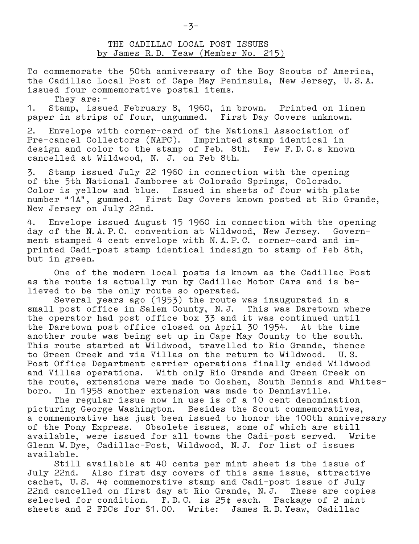THE CADILLAC LOCAL POST ISSUES by James R.D. Yeaw (Member No. 215)

To commemorate the 50th anniversary of the Boy Scouts of America, the Cadillac Local Post of Cape May Peninsula, New Jersey, U.S.A. issued four commemorative postal items.

They are:–

1. Stamp, issued February 8, 1960, in brown. Printed on linen paper in strips of four, ungummed. First Day Covers unknown.

2. Envelope with corner–card of the National Association of Pre–cancel Collectors (NAPC). Imprinted stamp identical in design and color to the stamp of Feb. 8th. Few F.D.C.s known cancelled at Wildwood, N. J. on Feb 8th.

3. Stamp issued July 22 1960 in connection with the opening of the 5th National Jamboree at Colorado Springs, Colorado. Color is yellow and blue. Issued in sheets of four with plate number "1A", gummed. First Day Covers known posted at Rio Gra First Day Covers known posted at Rio Grande, New Jersey on July 22nd.

4. Envelope issued August 15 1960 in connection with the opening day of the N.A.P.C. convention at Wildwood, New Jersey. Government stamped 4 cent envelope with N.A.P.C. corner–card and im– printed Cadi–post stamp identical indesign to stamp of Feb 8th, but in green.

 One of the modern local posts is known as the Cadillac Post as the route is actually run by Cadillac Motor Cars and is be– lieved to be the only route so operated.

 Several years ago (1953) the route was inaugurated in a small post office in Salem County, N.J. This was Daretown where the operator had post office box 33 and it was continued until the Daretown post office closed on April 30 1954. At the time another route was being set up in Cape May County to the south. This route started at Wildwood, travelled to Rio Grande, thence to Green Creek and via Villas on the return to Wildwood. U.S. Post Office Department carrier operations finally ended Wildwood and Villas operations. With only Rio Grande and Green Creek on the route, extensions were made to Goshen, South Dennis and Whites– boro. In 1958 another extension was made to Dennisville.

 The regular issue now in use is of a 10 cent denomination picturing George Washington. Besides the Scout commemoratives, a commemorative has just been issued to honor the 100th anniversary of the Pony Express. Obsolete issues, some of which are still available, were issued for all towns the Cadi–post served. Write Glenn W.Dye, Cadillac–Post, Wildwood, N.J. for list of issues available.

 Still available at 40 cents per mint sheet is the issue of July 22nd. Also first day covers of this same issue, attractive cachet, U.S. 4¢ commemorative stamp and Cadi–post issue of July 22nd cancelled on first day at Rio Grande, N.J. These are copies selected for condition. F.D.C. is 25¢ each. Package of 2 mint sheets and 2 FDCs for \$1.00. Write: James R.D.Yeaw, Cadillac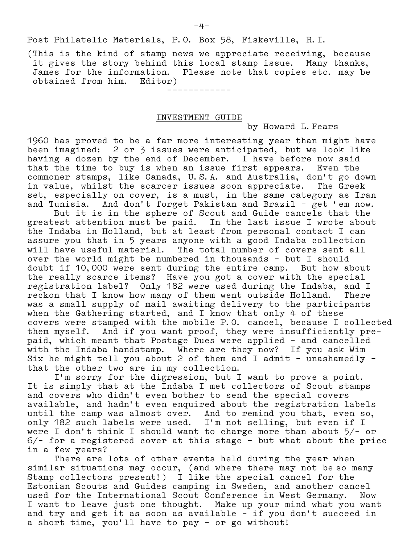––––––––––––

(This is the kind of stamp news we appreciate receiving, because it gives the story behind this local stamp issue. Many thanks, James for the information. Please note that copies etc. may be obtained from him. Editor)

# INVESTMENT GUIDE

by Howard L.Fears

1960 has proved to be a far more interesting year than might have been imagined: 2 or 3 issues were anticipated, but we look like having a dozen by the end of December. I have before now said that the time to buy is when an issue first appears. Even the commoner stamps, like Canada, U.S.A. and Australia, don't go down in value, whilst the scarcer issues soon appreciate. The Greek set, especially on cover, is a must, in the same category as Iran and Tunisia. And don't forget Pakistan and Brazil – get 'em now.

 But it is in the sphere of Scout and Guide cancels that the greatest attention must be paid. In the last issue I wrote about the Indaba in Holland, but at least from personal contact I can assure you that in 5 years anyone with a good Indaba collection will have useful material. The total number of covers sent all over the world might be numbered in thousands – but I should doubt if 10,000 were sent during the entire camp. But how about the really scarce items? Have you got a cover with the special registration label? Only 182 were used during the Indaba, and I reckon that I know how many of them went outside Holland. There was a small supply of mail awaiting delivery to the participants when the Gathering started, and I know that only 4 of these covers were stamped with the mobile P.O. cancel, because I collected them myself. And if you want proof, they were insufficiently pre– paid, which meant that Postage Dues were applied – and cancelled with the Indaba handstamp. Where are they now? If you ask Wim Six he might tell you about 2 of them and I admit – unashamedly – that the other two are in my collection.

 I'm sorry for the digression, but I want to prove a point. It is simply that at the Indaba I met collectors of Scout stamps and covers who didn't even bother to send the special covers available, and hadn't even enquired about the registration labels until the camp was almost over. And to remind you that, even so, only 182 such labels were used. I'm not selling, but even if I were I don't think I should want to charge more than about  $5/-$  or 6/– for a registered cover at this stage – but what about the price in a few years?

 There are lots of other events held during the year when similar situations may occur, (and where there may not be so many Stamp collectors present!) I like the special cancel for the Estonian Scouts and Guides camping in Sweden, and another cancel used for the International Scout Conference in West Germany. Now I want to leave just one thought. Make up your mind what you want and try and get it as soon as available – if you don't succeed in a short time, you'll have to pay – or go without!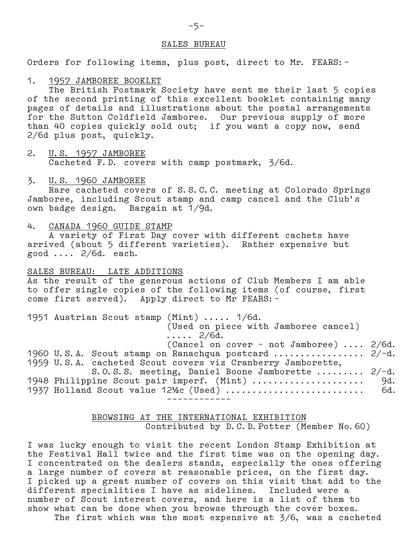#### SALES BUREAU

Orders for following items, plus post, direct to Mr. FEARS:–

#### 1. 1957 JAMBOREE BOOKLET

 The British Postmark Society have sent me their last 5 copies of the second printing of this excellent booklet containing many pages of details and illustrations about the postal arrangements for the Sutton Coldfield Jamboree. Our previous supply of more than 40 copies quickly sold out; if you want a copy now, send 2/6d plus post, quickly.

2. U.S. 1957 JAMBOREE Cacheted F.D. covers with camp postmark, 3/6d.

## 3. U.S. 1960 JAMBOREE

 Rare cacheted covers of S.S.C.C. meeting at Colorado Springs Jamboree, including Scout stamp and camp cancel and the Club's own badge design. Bargain at 1/9d.

#### 4. CANADA 1960 GUIDE STAMP

 A variety of First Day cover with different cachets have arrived (about 5 different varieties). Rather expensive but good .... 2/6d. each.

### SALES BUREAU: LATE ADDITIONS

As the result of the generous actions of Club Members I am able to offer single copies of the following items (of course, first come first served). Apply direct to Mr FEARS:–

|  | 1951 Austrian Scout stamp (Mint)  1/6d.                     |  |  |  |  |  |
|--|-------------------------------------------------------------|--|--|--|--|--|
|  | (Used on piece with Jamboree cancel)                        |  |  |  |  |  |
|  | $\ldots$ 2/6d.                                              |  |  |  |  |  |
|  | (Cancel on cover - not Jamboree)  2/6d.                     |  |  |  |  |  |
|  | 1960 U.S.A. Scout stamp on Ranachqua postcard  2/-d.        |  |  |  |  |  |
|  | 1959 U.S.A. cacheted Scout covers viz Cranberry Jamborette, |  |  |  |  |  |
|  | S.O.S.S. meeting, Daniel Boone Jamborette $2/-d$ .          |  |  |  |  |  |
|  | 1948 Philippine Scout pair imperf. (Mint)  9d.              |  |  |  |  |  |
|  | 1937 Holland Scout value $12\frac{1}{2}$ (Used)  6d.        |  |  |  |  |  |
|  |                                                             |  |  |  |  |  |

## BROWSING AT THE INTERNATIONAL EXHIBITION Contributed by D.C.D.Potter (Member No.60)

I was lucky enough to visit the recent London Stamp Exhibition at the Festival Hall twice and the first time was on the opening day. I concentrated on the dealers stands, especially the ones offering a large number of covers at reasonable prices, on the first day. I picked up a great number of covers on this visit that add to the different specialities I have as sidelines. Included were a number of Scout interest covers, and here is a list of them to show what can be done when you browse through the cover boxes. The first which was the most expensive at 3/6, was a cacheted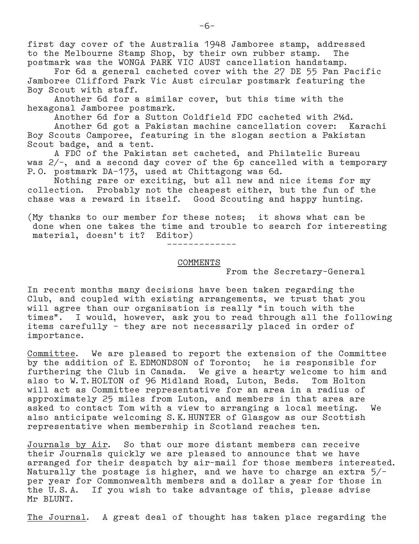first day cover of the Australia 1948 Jamboree stamp, addressed to the Melbourne Stamp Shop, by their own rubber stamp. The postmark was the WONGA PARK VIC AUST cancellation handstamp.

 For 6d a general cacheted cover with the 27 DE 55 Pan Pacific Jamboree Clifford Park Vic Aust circular postmark featuring the Boy Scout with staff.

 Another 6d for a similar cover, but this time with the hexagonal Jamboree postmark.

Another 6d for a Sutton Coldfield FDC cacheted with 2**½**d.

 Another 6d got a Pakistan machine cancellation cover: Karachi Boy Scouts Camporee, featuring in the slogan section a Pakistan Scout badge, and a tent.

 A FDC of the Pakistan set cacheted, and Philatelic Bureau was 2/–, and a second day cover of the 6p cancelled with a temporary P.O. postmark DA–173, used at Chittagong was 6d.

 Nothing rare or exciting, but all new and nice items for my collection. Probably not the cheapest either, but the fun of the chase was a reward in itself. Good Scouting and happy hunting.

(My thanks to our member for these notes; it shows what can be done when one takes the time and trouble to search for interesting material, doesn't it? Editor)

–––––––––––––

## COMMENTS

From the Secretary–General

In recent months many decisions have been taken regarding the Club, and coupled with existing arrangements, we trust that you will agree than our organisation is really "in touch with the times". I would, however, ask you to read through all the following items carefully – they are not necessarily placed in order of importance.

Committee. We are pleased to report the extension of the Committee by the addition of E.EDMONDSON of Toronto; he is responsible for furthering the Club in Canada. We give a hearty welcome to him and also to W.T.HOLTON of 96 Midland Road, Luton, Beds. Tom Holton will act as Committee representative for an area in a radius of approximately 25 miles from Luton, and members in that area are asked to contact Tom with a view to arranging a local meeting. We also anticipate welcoming S.K.HUNTER of Glasgow as our Scottish representative when membership in Scotland reaches ten.

Journals by Air. So that our more distant members can receive their Journals quickly we are pleased to announce that we have arranged for their despatch by air–mail for those members interested. Naturally the postage is higher, and we have to charge an extra  $5/$ per year for Commonwealth members and a dollar a year for those in the U.S.A. If you wish to take advantage of this, please advise Mr BLUNT.

The Journal. A great deal of thought has taken place regarding the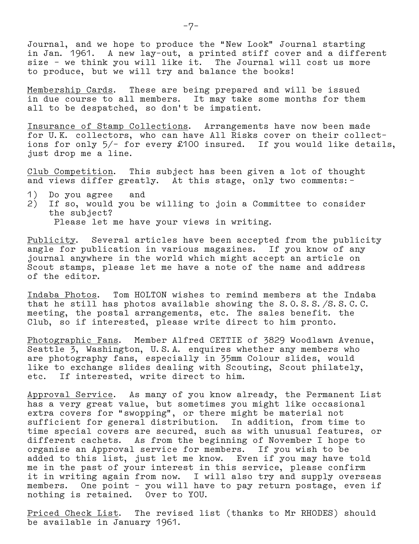Journal, and we hope to produce the "New Look" Journal starting in Jan. 1961. A new lay–out, a printed stiff cover and a different size – we think you will like it. The Journal will cost us more to produce, but we will try and balance the books!

Membership Cards. These are being prepared and will be issued in due course to all members. It may take some months for them all to be despatched, so don't be impatient.

Insurance of Stamp Collections. Arrangements have now been made for U.K. collectors, who can have All Risks cover on their collect– ions for only 5/– for every £100 insured. If you would like details, just drop me a line.

Club Competition. This subject has been given a lot of thought and views differ greatly. At this stage, only two comments:–

- 1) Do you agree and
- 2) If so, would you be willing to join a Committee to consider the subject?

Please let me have your views in writing.

Publicity. Several articles have been accepted from the publicity angle for publication in various magazines. If you know of any journal anywhere in the world which might accept an article on Scout stamps, please let me have a note of the name and address of the editor.

Indaba Photos. Tom HOLTON wishes to remind members at the Indaba that he still has photos available showing the S.O.S.S./S.S.C.C. meeting, the postal arrangements, etc. The sales benefit. the Club, so if interested, please write direct to him pronto.

Photographic Fans. Member Alfred CETTIE of 3829 Woodlawn Avenue, Seattle 3, Washington, U.S.A. enquires whether any members who are photography fans, especially in 35mm Colour slides, would like to exchange slides dealing with Scouting, Scout philately, etc. If interested, write direct to him.

Approval Service. As many of you know already, the Permanent List has a very great value, but sometimes you might like occasional extra covers for "swopping", or there might be material not sufficient for general distribution. In addition, from time to time special covers are secured, such as with unusual features, or different cachets. As from the beginning of November I hope to organise an Approval service for members. If you wish to be added to this list, just let me know. Even if you may have told me in the past of your interest in this service, please confirm it in writing again from now. I will also try and supply overseas members. One point - you will have to pay return postage, even if nothing is retained. Over to YOU.

Priced Check List. The revised list (thanks to Mr RHODES) should be available in January 1961.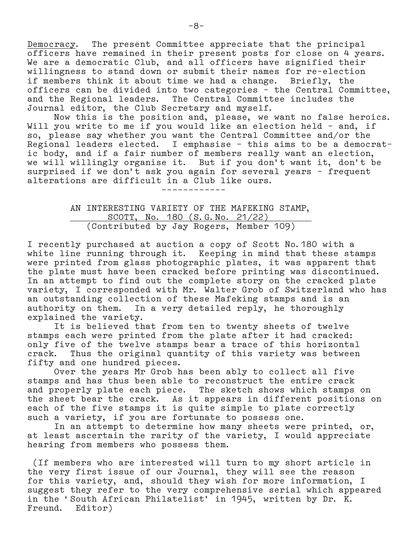Democracy. The present Committee appreciate that the principal officers have remained in their present posts for close on 4 years. We are a democratic Club, and all officers have signified their willingness to stand down or submit their names for re–election if members think it about time we had a change. Briefly, the officers can be divided into two categories – the Central Committee, and the Regional leaders. The Central Committee includes the Journal editor, the Club Secretary and myself.

 Now this is the position and, please, we want no false heroics. Will you write to me if you would like an election held – and, if so, please say whether you want the Central Committee and/or the Regional leaders elected. I emphasise – this aims to be a democrat– ic body, and if a fair number of members really want an election, we will willingly organise it. But if you don't want it, don't be surprised if we don't ask you again for several years – frequent alterations are difficult in a Club like ours. ––––––––––––

> AN INTERESTING VARIETY OF THE MAFEKING STAMP, <u>SCOTT, No. 180 (S.G.No. 21/22)</u> (Contributed by Jay Rogers, Member 109)

I recently purchased at auction a copy of Scott No.180 with a white line running through it. Keeping in mind that these stamps were printed from glass photographic plates, it was apparent that the plate must have been cracked before printing was discontinued. In an attempt to find out the complete story on the cracked plate variety, I corresponded with Mr. Walter Grob of Switzerland who has an outstanding collection of these Mafeking stamps and is an authority on them. In a very detailed reply, he thoroughly explained the variety.

 It is believed that from ten to twenty sheets of twelve stamps each were printed from the plate after it had cracked: only five of the twelve stamps bear a trace of this horizontal crack. Thus the original quantity of this variety was between fifty and one hundred pieces.

 Over the years Mr Grob has been ably to collect all five stamps and has thus been able to reconstruct the entire crack and properly plate each piece. The sketch shows which stamps on the sheet bear the crack. As it appears in different positions on each of the five stamps it is quite simple to plate correctly such a variety, if you are fortunate to possess one.

 In an attempt to determine how many sheets were printed, or, at least ascertain the rarity of the variety, I would appreciate hearing from members who possess them.

 (If members who are interested will turn to my short article in the very first issue of our Journal, they will see the reason for this variety, and, should they wish for more information, I suggest they refer to the very comprehensive serial which appeared in the 'South African Philatelist' in 1945, written by Dr. K. Freund. Editor)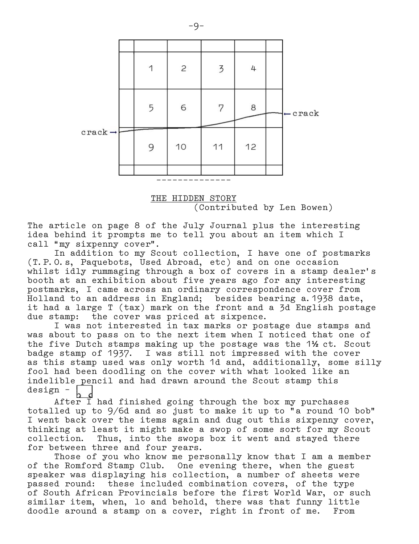

 THE HIDDEN STORY (Contributed by Len Bowen)

The article on page 8 of the July Journal plus the interesting idea behind it prompts me to tell you about an item which I call "my sixpenny cover".

 In addition to my Scout collection, I have one of postmarks (T.P.O.s, Paquebots, Used Abroad, etc) and on one occasion whilst idly rummaging through a box of covers in a stamp dealer's booth at an exhibition about five years ago for any interesting postmarks, I came across an ordinary correspondence cover from Holland to an address in England; besides bearing a.1938 date, it had a large T (tax) mark on the front and a 3d English postage due stamp: the cover was priced at sixpence.

 I was not interested in tax marks or postage due stamps and was about to pass on to the next item when I noticed that one of the five Dutch stamps making up the postage was the 1**½** ct. Scout badge stamp of 1937. I was still not impressed with the cover as this stamp used was only worth 1d and, additionally, some silly fool had been doodling on the cover with what looked like an indelible pencil and had drawn around the Scout stamp this design –

After I had finished going through the box my purchases totalled up to 9/6d and so just to make it up to "a round 10 bob" I went back over the items again and dug out this sixpenny cover, thinking at least it might make a swop of some sort for my Scout collection. Thus, into the swops box it went and stayed there for between three and four years.

 Those of you who know me personally know that I am a member of the Romford Stamp Club. One evening there, when the guest speaker was displaying his collection, a number of sheets were passed round: these included combination covers, of the type of South African Provincials before the first World War, or such similar item, when, lo and behold, there was that funny little doodle around a stamp on a cover, right in front of me. From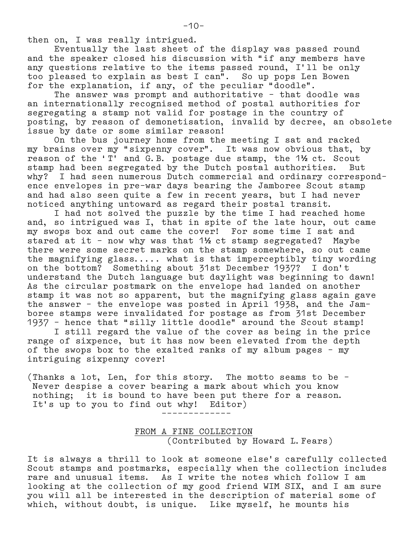then on, I was really intrigued.

 Eventually the last sheet of the display was passed round and the speaker closed his discussion with "if any members have any questions relative to the items passed round, I'll be only too pleased to explain as best I can". So up pops Len Bowen for the explanation, if any, of the peculiar "doodle".

 The answer was prompt and authoritative – that doodle was an internationally recognised method of postal authorities for segregating a stamp not valid for postage in the country of posting, by reason of demonetisation, invalid by decree, an obsolete issue by date or some similar reason!

 On the bus journey home from the meeting I sat and racked my brains over my "sixpenny cover". It was now obvious that, by reason of the 'T' and G.B. postage due stamp, the 1**½** ct. Scout stamp had been segregated by the Dutch postal authorities. But why? I had seen numerous Dutch commercial and ordinary correspond– ence envelopes in pre–war days bearing the Jamboree Scout stamp and had also seen quite a few in recent years, but I had never noticed anything untoward as regard their postal transit.

 I had not solved the puzzle by the time I had reached home and, so intrigued was I, that in spite of the late hour, out came my swops box and out came the cover! For some time I sat and stared at it – now why was that 1**½** ct stamp segregated? Maybe there were some secret marks on the stamp somewhere, so out came the magnifying glass..... what is that imperceptibly tiny wording on the bottom? Something about 31st December 1937? I don't understand the Dutch language but daylight was beginning to dawn! As the circular postmark on the envelope had landed on another stamp it was not so apparent, but the magnifying glass again gave the answer – the envelope was posted in April 1938, and the Jam– boree stamps were invalidated for postage as from 31st December 1937 – hence that "silly little doodle" around the Scout stamp! I still regard the value of the cover as being in the price

range of sixpence, but it has now been elevated from the depth of the swops box to the exalted ranks of my album pages – my intriguing sixpenny cover!

(Thanks a lot, Len, for this story. The motto seams to be – Never despise a cover bearing a mark about which you know nothing; it is bound to have been put there for a reason. It's up to you to find out why! Editor)

–––––––––––––

 FROM A FINE COLLECTION (Contributed by Howard L.Fears)

It is always a thrill to look at someone else's carefully collected Scout stamps and postmarks, especially when the collection includes rare and unusual items. As I write the notes which follow I am looking at the collection of my good friend WIM SIX, and I am sure you will all be interested in the description of material some of which, without doubt, is unique. Like myself, he mounts his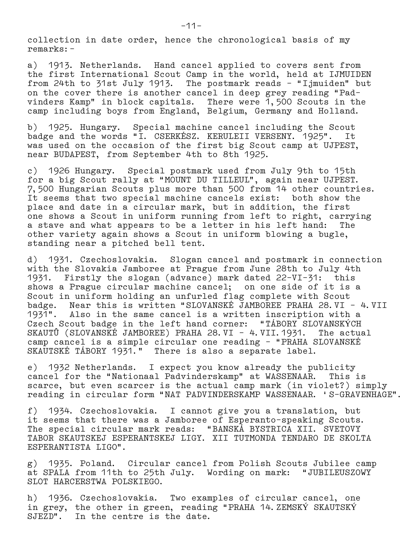collection in date order, hence the chronological basis of my remarks:–

a) 1913. Netherlands. Hand cancel applied to covers sent from the first International Scout Camp in the world, held at IJMUIDEN from 24th to 31st July 1913. The postmark reads - "Ijmuiden" but on the cover there is another cancel in deep grey reading "Pad– vinders Kamp" in block capitals. There were 1,500 Scouts in the camp including boys from England, Belgium, Germany and Holland.

b) 1925. Hungary. Special machine cancel including the Scout badge and the words "I. CSERKÉSZ. KERULEII VERSENY. 1925". It was used on the occasion of the first big Scout camp at UJPEST, near BUDAPEST, from September 4th to 8th 1925.

c) 1926 Hungary. Special postmark used from July 9th to 15th for a big Scout rally at "MOUNT DU TILLEUL", again near UJPEST. 7,500 Hungarian Scouts plus more than 500 from 14 other countries. It seems that two special machine cancels exist: both show the place and date in a circular mark, but in addition, the first one shows a Scout in uniform running from left to right, carrying a stave and what appears to be a letter in his left hand: The other variety again shows a Scout in uniform blowing a bugle, standing near a pitched bell tent.

d) 1931. Czechoslovakia. Slogan cancel and postmark in connection with the Slovakia Jamboree at Prague from June 28th to July 4th 1931. Firstly the slogan (advance) mark dated 22–VI–31: this shows a Prague circular machine cancel; on one side of it is a Scout in uniform holding an unfurled flag complete with Scout badge. Near this is written "SLOVANSKÉ JAMBOREE PRAHA 28.VI – 4.VII 1931". Also in the same cancel is a written inscription with a Czech Scout badge in the left hand corner: "TÁBORY SLOVANSKÝCH SKAUTÛ (SLOVANSKÉ JAMBOREE) PRAHA 28.VI – 4.VII.1931. The actual camp cancel is a simple circular one reading – "PRAHA SLOVANSKÉ SKAUTSKÉ TÁBORY 1931." There is also a separate label.

e) 1932 Netherlands. I expect you know already the publicity cancel for the "Nationaal Padvinderskamp" at WASSENAAR. This is scarce, but even scarcer is the actual camp mark (in violet?) simply reading in circular form "NAT PADVINDERSKAMP WASSENAAR. 'S–GRAVENHAGE".

f) 1934. Czechoslovakia. I cannot give you a translation, but it seems that there was a Jamboree of Esperanto–speaking Scouts. The special circular mark reads: "BANSKÁ BYSTRICA XII. SVETOVY TABOR SKAUTSKEJ ESPERANTSKEJ LIGY. XII TUTMONDA TENDARO DE SKOLTA ESPERANTISTA LIGO".

g) 1935. Poland. Circular cancel from Polish Scouts Jubilee camp at SPALA from 11th to 25th July. Wording on mark: "JUBILEUSZOWY SLOT HARCERSTWA POLSKIEGO.

h) 1936. Czechoslovakia. Two examples of circular cancel, one in grey, the other in green, reading "PRAHA 14. ZEMSKÝ SKAUTSKÝ SJEZD". In the centre is the date.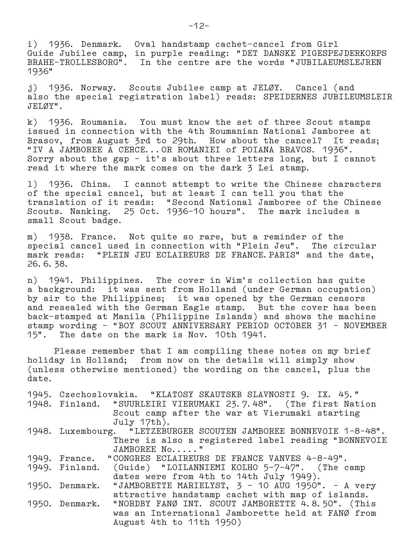i) 1936. Denmark. Oval handstamp cachet–cancel from Girl Guide Jubilee camp, in purple reading: "DET DANSKE PIGESPEJDERKORPS BRAHE–TROLLESBORG". In the centre are the words "JUBILAEUMSLEJREN 1936"

j) 1936. Norway. Scouts Jubilee camp at JELØY. Cancel (and also the special registration label) reads: SPEIDERNES JUBILEUMSLEIR JELØY".

k) 1936. Roumania. You must know the set of three Scout stamps issued in connection with the 4th Roumanian National Jamboree at Brasov, from August 3rd to 29th. How about the cancel? It reads; "IV A JAMBOREE A CERCE...OR ROMANIEI of POIANA BRAVOS. 1936". Sorry about the gap – it's about three letters long, but I cannot read it where the mark comes on the dark 3 Lei stamp.

l) 1936. China. I cannot attempt to write the Chinese characters of the special cancel, but at least I can tell you that the translation of it reads: "Second National Jamboree of the Chinese Scouts. Nanking. 25 Oct. 1936–10 hours". The mark includes a small Scout badge.

m) 1938. France. Not quite so rare, but a reminder of the special cancel used in connection with "Plein Jeu". The circular mark reads: "PLEIN JEU ECLAIREURS DE FRANCE.PARIS" and the date, 26.6.38.

n) 1941. Philippines. The cover in Wim's collection has quite a background: it was sent from Holland (under German occupation) by air to the Philippines; it was opened by the German censors and resealed with the German Eagle stamp. But the cover has been back–stamped at Manila (Philippine Islands) and shows the machine stamp wording – "BOY SCOUT ANNIVERSARY PERIOD OCTOBER 31 – NOVEMBER 15". The date on the mark is Nov. 10th 1941.

 Please remember that I am compiling these notes on my brief holiday in Holland; from now on the details will simply show (unless otherwise mentioned) the wording on the cancel, plus the date.

|  | 1945. Czechoslovakia. "KLATOSY SKAUTSKB SLAVNOSTI 9. IX. 45."      |
|--|--------------------------------------------------------------------|
|  | 1948. Finland. "SUURLEIRI VIERUMAKI 23.7.48". (The first Nation    |
|  | Scout camp after the war at Vierumaki starting                     |
|  | July 17th).                                                        |
|  | 1948. Luxembourg. "LETZEBURGER SCOUTEN JAMBOREE BONNEVOIE 1-8-48". |
|  | There is also a registered label reading "BONNEVOIE                |
|  | JAMBOREE No"                                                       |
|  | 1949. France. "CONGRES ECLAIREURS DE FRANCE VANVES 4-8-49".        |
|  | 1949. Finland. (Guide) "LOILANNIEMI KOLHO 5-7-47". (The camp       |
|  | dates were from 4th to 14th July 1949).                            |
|  | 1950. Denmark. "JAMBORETTE MARIELYST, 3 - 10 AUG 1950". - A very   |
|  | attractive handstamp cachet with map of islands.                   |
|  | 1950. Denmark. "NORDBY FANØ INT. SCOUT JAMBORETTE 4.8.50". (This   |
|  | was an International Jamborette held at FANØ from                  |
|  | August 4th to 11th 1950)                                           |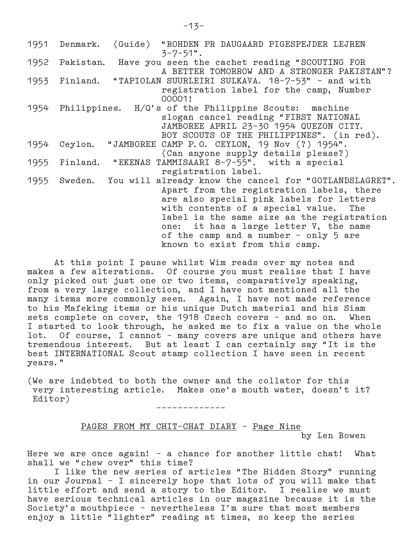| 1951 | Denmark.       | (Guide) "ROHDEN PR DAUGAARD PIGESPEJDER LEJREN<br>$3 - 7 - 51$ ".                                                                                                                                                                                                                                                                                                   |
|------|----------------|---------------------------------------------------------------------------------------------------------------------------------------------------------------------------------------------------------------------------------------------------------------------------------------------------------------------------------------------------------------------|
|      | 1952 Pakistan. | Have you seen the cachet reading "SCOUTING FOR                                                                                                                                                                                                                                                                                                                      |
|      |                | A BETTER TOMORROW AND A STRONGER PAKISTAN"?<br>1953 Finland. "TAPIOLAN SUURLEIRI SULKAVA. 18-7-53" - and with<br>registration label for the camp, Number<br>00001!                                                                                                                                                                                                  |
|      |                | 1954 Philippines. H/Q's of the Philippine Scouts: machine<br>slogan cancel reading "FIRST NATIONAL<br>JAMBOREE APRIL 23-30 1954 QUEZON CITY.<br>BOY SCOUTS OF THE PHILIPPINES". (in red).                                                                                                                                                                           |
| 1954 | Ceylon.        | "JAMBOREE CAMP P.O. CEYLON, 19 Nov (?) 1954".<br>(Can anyone supply details please?)                                                                                                                                                                                                                                                                                |
| 1955 | Finland.       | "EKENAS TAMMISAARI 8-7-55". with a special<br>registration label.                                                                                                                                                                                                                                                                                                   |
| 1955 |                | Sweden. You will already know the cancel for "GOTLANDSLAGRET".<br>Apart from the registration labels, there<br>are also special pink labels for letters<br>with contents of a special value. The<br>label is the same size as the registration<br>one: it has a large letter V, the name<br>of the camp and a number - only 5 are<br>known to exist from this camp. |

 At this point I pause whilst Wim reads over my notes and makes a few alterations. Of course you must realise that I have only picked out just one or two items, comparatively speaking, from a very large collection, and I have not mentioned all the many items more commonly seen. Again, I have not made reference to his Mafeking items or his unique Dutch material and his Siam sets complete on cover, the 1918 Czech covers – and so on. When I started to look through, he asked me to fix a value on the whole lot. Of course, I cannot – many covers are unique and others have tremendous interest. But at least I can certainly say "It is the best INTERNATIONAL Scout stamp collection I have seen in recent years."

(We are indebted to both the owner and the collator for this very interesting article. Makes one's mouth water, doesn't it? Editor)

–––––––––––––

# PAGES FROM MY CHIT–CHAT DIARY – Page Nine by Len Bowen

Here we are once again! – a chance for another little chat! What shall we "chew over" this time?

 I like the new series of articles "The Hidden Story" running in our Journal – I sincerely hope that lots of you will make that little effort and send a story to the Editor. I realise we must have serious technical articles in our magazine because it is the Society's mouthpiece – nevertheless I'm sure that most members enjoy a little "lighter" reading at times, so keep the series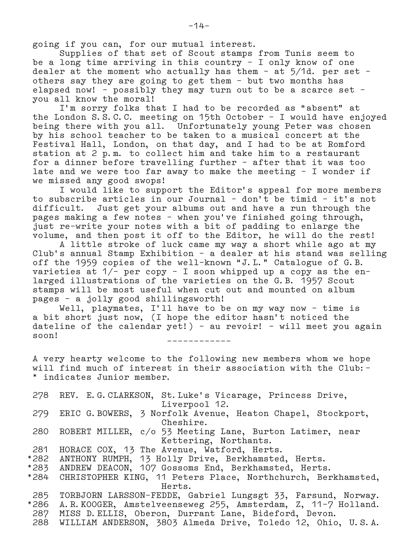going if you can, for our mutual interest.

 Supplies of that set of Scout stamps from Tunis seem to be a long time arriving in this country – I only know of one dealer at the moment who actually has them - at  $5/1d$ . per set others say they are going to get them – but two months has elapsed now! – possibly they may turn out to be a scarce set – you all know the moral!

 I'm sorry folks that I had to be recorded as "absent" at the London S.S.C.C. meeting on 15th October – I would have enjoyed being there with you all. Unfortunately young Peter was chosen by his school teacher to be taken to a musical concert at the Festival Hall, London, on that day, and I had to be at Romford station at 2 p.m. to collect him and take him to a restaurant for a dinner before travelling further – after that it was too late and we were too far away to make the meeting – I wonder if we missed any good swops!

 I would like to support the Editor's appeal for more members to subscribe articles in our Journal – don't be timid – it's not difficult. Just get your albums out and have a run through the pages making a few notes – when you've finished going through, just re–write your notes with a bit of padding to enlarge the volume, and then post it off to the Editor, he will do the rest!

 A little stroke of luck came my way a short while ago at my Club's annual Stamp Exhibition – a dealer at his stand was selling off the 1959 copies of the well–known "J.L." Catalogue of G.B. varieties at  $1/-$  per copy - I soon whipped up a copy as the en larged illustrations of the varieties on the G.B. 1957 Scout stamps will be most useful when cut out and mounted on album pages – a jolly good shillingsworth!

 Well, playmates, I'll have to be on my way now – time is a bit short just now, (I hope the editor hasn't noticed the dateline of the calendar yet!) – au revoir! – will meet you again soon! ––––––––––––

 A very hearty welcome to the following new members whom we hope will find much of interest in their association with the Club:– indicates Junior member.

 278 REV. E.G.CLARKSON, St.Luke's Vicarage, Princess Drive, Liverpool 12. 279 ERIC G.BOWERS, 3 Norfolk Avenue, Heaton Chapel, Stockport, Cheshire. 280 ROBERT MILLER, c/o 53 Meeting Lane, Burton Latimer, near Kettering, Northants. 281 HORACE COX, 13 The Avenue, Watford, Herts. \*282 ANTHONY RUMPH, 13 Holly Drive, Berkhamsted, Herts. \*283 ANDREW DEACON, 107 Gossoms End, Berkhamsted, Herts.

\*284 CHRISTOPHER KING, 11 Peters Place, Northchurch, Berkhamsted, Herts.

 285 TORBJORN LARSSON–FEDDE, Gabriel Lungsgt 33, Farsund, Norway. \*286 A.R.KOOGER, Amstelveenseweg 255, Amsterdam, Z, 11–7 Holland.

287 MISS D.ELLIS, Oberon, Durrant Lane, Bideford, Devon.

288 WILLIAM ANDERSON, 3803 Almeda Drive, Toledo 12, Ohio, U.S.A.